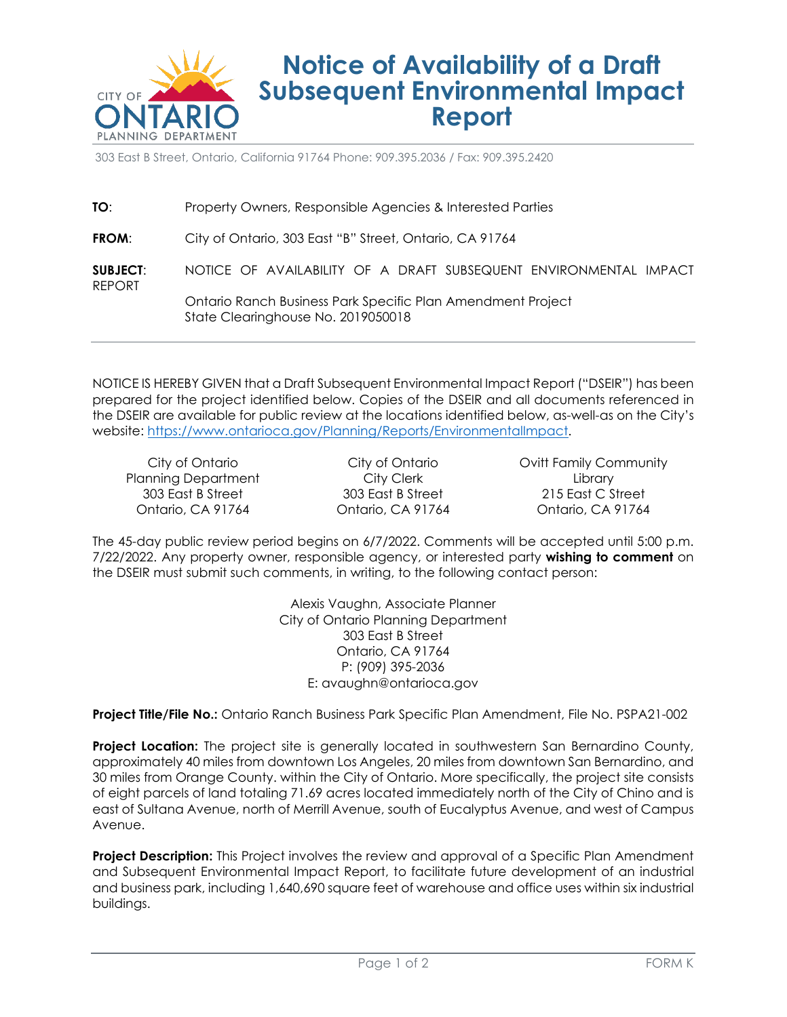

# **Notice of Availability of a Draft Subsequent Environmental Impact Report**

303 East B Street, Ontario, California 91764 Phone: 909.395.2036 / Fax: 909.395.2420

| TO:                       | Property Owners, Responsible Agencies & Interested Parties                                        |
|---------------------------|---------------------------------------------------------------------------------------------------|
| FROM:                     | City of Ontario, 303 East "B" Street, Ontario, CA 91764                                           |
| <b>SUBJECT:</b><br>REPORT | NOTICE OF AVAILABILITY OF A DRAFT SUBSEQUENT ENVIRONMENTAL IMPACT                                 |
|                           | Ontario Ranch Business Park Specific Plan Amendment Project<br>State Clearinghouse No. 2019050018 |

NOTICE IS HEREBY GIVEN that a Draft Subsequent Environmental Impact Report ("DSEIR") has been prepared for the project identified below. Copies of the DSEIR and all documents referenced in the DSEIR are available for public review at the locations identified below, as-well-as on the City's website: [https://www.ontarioca.gov/Planning/Reports/EnvironmentalImpact.](https://www.ontarioca.gov/Planning/Reports/EnvironmentalImpact)

City of Ontario Planning Department 303 East B Street Ontario, CA 91764

City of Ontario City Clerk 303 East B Street Ontario, CA 91764 Ovitt Family Community Library 215 East C Street Ontario, CA 91764

The 45-day public review period begins on 6/7/2022. Comments will be accepted until 5:00 p.m. 7/22/2022. Any property owner, responsible agency, or interested party **wishing to comment** on the DSEIR must submit such comments, in writing, to the following contact person:

> Alexis Vaughn, Associate Planner City of Ontario Planning Department 303 East B Street Ontario, CA 91764 P: (909) 395-2036 E: avaughn@ontarioca.gov

**Project Title/File No.:** Ontario Ranch Business Park Specific Plan Amendment, File No. PSPA21-002

**Project Location:** The project site is generally located in southwestern San Bernardino County, approximately 40 miles from downtown Los Angeles, 20 miles from downtown San Bernardino, and 30 miles from Orange County. within the City of Ontario. More specifically, the project site consists of eight parcels of land totaling 71.69 acres located immediately north of the City of Chino and is east of Sultana Avenue, north of Merrill Avenue, south of Eucalyptus Avenue, and west of Campus Avenue.

**Project Description:** This Project involves the review and approval of a Specific Plan Amendment and Subsequent Environmental Impact Report, to facilitate future development of an industrial and business park, including 1,640,690 square feet of warehouse and office uses within six industrial buildings.